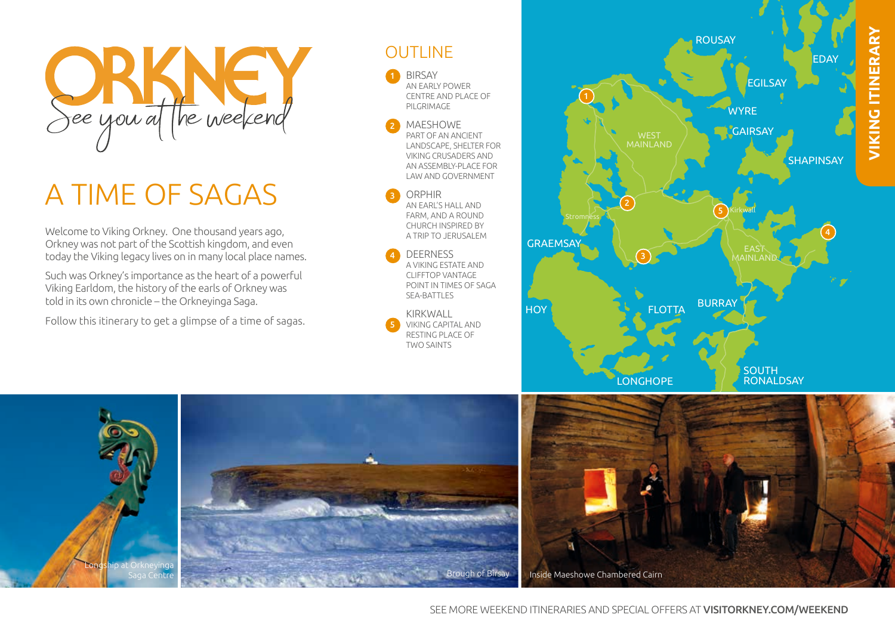

# A TIME OF SAGAS

Welcome to Viking Orkney. One thousand years ago, Orkney was not part of the Scottish kingdom, and even today the Viking legacy lives on in many local place names.

Such was Orkney's importance as the heart of a powerful Viking Earldom, the history of the earls of Orkney was told in its own chronicle – the Orkneyinga Saga.

Follow this itinerary to get a glimpse of a time of sagas.





2

3